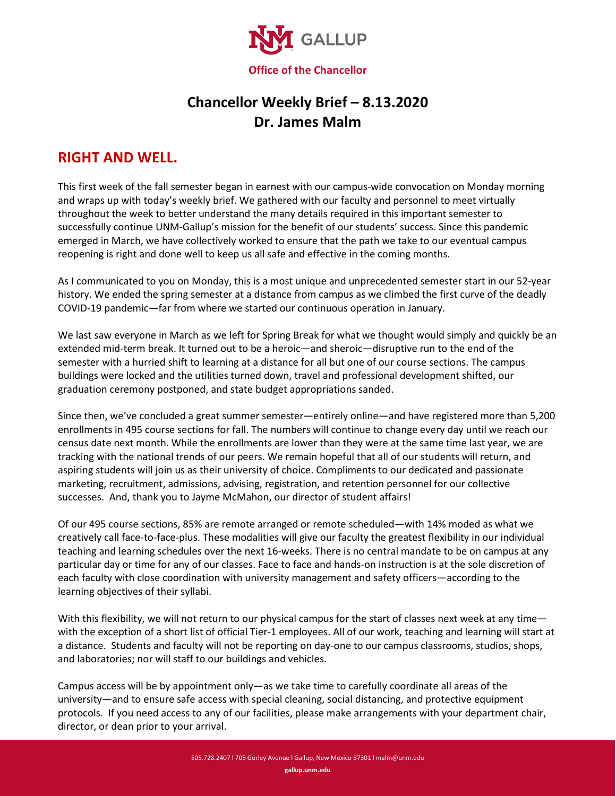

## **Chancellor Weekly Brief – 8.13.2020 Dr. James Malm**

## **RIGHT AND WELL.**

This first week of the fall semester began in earnest with our campus-wide convocation on Monday morning and wraps up with today's weekly brief. We gathered with our faculty and personnel to meet virtually throughout the week to better understand the many details required in this important semester to successfully continue UNM-Gallup's mission for the benefit of our students' success. Since this pandemic emerged in March, we have collectively worked to ensure that the path we take to our eventual campus reopening is right and done well to keep us all safe and effective in the coming months.

As I communicated to you on Monday, this is a most unique and unprecedented semester start in our 52-year history. We ended the spring semester at a distance from campus as we climbed the first curve of the deadly COVID-19 pandemic—far from where we started our continuous operation in January.

We last saw everyone in March as we left for Spring Break for what we thought would simply and quickly be an extended mid-term break. It turned out to be a heroic—and sheroic—disruptive run to the end of the semester with a hurried shift to learning at a distance for all but one of our course sections. The campus buildings were locked and the utilities turned down, travel and professional development shifted, our graduation ceremony postponed, and state budget appropriations sanded.

Since then, we've concluded a great summer semester—entirely online—and have registered more than 5,200 enrollments in 495 course sections for fall. The numbers will continue to change every day until we reach our census date next month. While the enrollments are lower than they were at the same time last year, we are tracking with the national trends of our peers. We remain hopeful that all of our students will return, and aspiring students will join us as their university of choice. Compliments to our dedicated and passionate marketing, recruitment, admissions, advising, registration, and retention personnel for our collective successes. And, thank you to Jayme McMahon, our director of student affairs!

Of our 495 course sections, 85% are remote arranged or remote scheduled—with 14% moded as what we creatively call face-to-face-plus. These modalities will give our faculty the greatest flexibility in our individual teaching and learning schedules over the next 16-weeks. There is no central mandate to be on campus at any particular day or time for any of our classes. Face to face and hands-on instruction is at the sole discretion of each faculty with close coordination with university management and safety officers—according to the learning objectives of their syllabi.

With this flexibility, we will not return to our physical campus for the start of classes next week at any time with the exception of a short list of official Tier-1 employees. All of our work, teaching and learning will start at a distance. Students and faculty will not be reporting on day-one to our campus classrooms, studios, shops, and laboratories; nor will staff to our buildings and vehicles.

Campus access will be by appointment only—as we take time to carefully coordinate all areas of the university—and to ensure safe access with special cleaning, social distancing, and protective equipment protocols. If you need access to any of our facilities, please make arrangements with your department chair, director, or dean prior to your arrival.